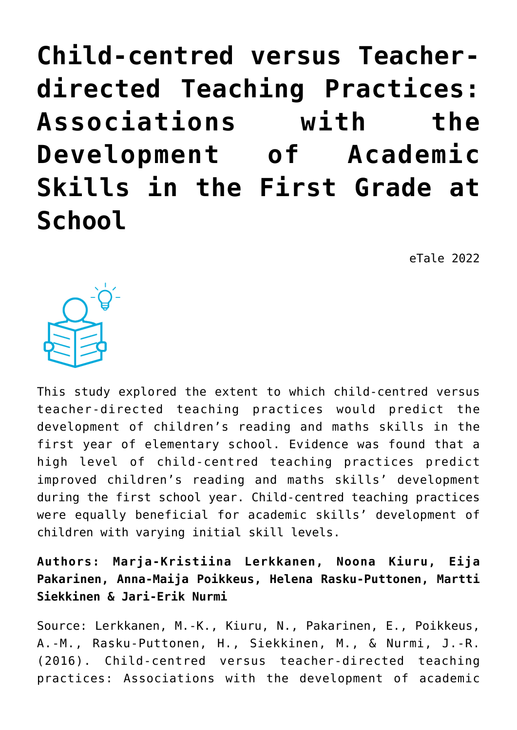**[Child-centred versus Teacher](https://dev.taleafrica.com/2021/04/14/child-centred-versus-teacher-directed-teaching-practices-associations-with-the-development-of-academic-skills-in-the-first-grade-at-school/)[directed Teaching Practices:](https://dev.taleafrica.com/2021/04/14/child-centred-versus-teacher-directed-teaching-practices-associations-with-the-development-of-academic-skills-in-the-first-grade-at-school/) [Associations with the](https://dev.taleafrica.com/2021/04/14/child-centred-versus-teacher-directed-teaching-practices-associations-with-the-development-of-academic-skills-in-the-first-grade-at-school/) [Development of Academic](https://dev.taleafrica.com/2021/04/14/child-centred-versus-teacher-directed-teaching-practices-associations-with-the-development-of-academic-skills-in-the-first-grade-at-school/) [Skills in the First Grade at](https://dev.taleafrica.com/2021/04/14/child-centred-versus-teacher-directed-teaching-practices-associations-with-the-development-of-academic-skills-in-the-first-grade-at-school/) [School](https://dev.taleafrica.com/2021/04/14/child-centred-versus-teacher-directed-teaching-practices-associations-with-the-development-of-academic-skills-in-the-first-grade-at-school/)**

eTale 2022



This study explored the extent to which child-centred versus teacher-directed teaching practices would predict the development of children's reading and maths skills in the first year of elementary school. Evidence was found that a high level of child-centred teaching practices predict improved children's reading and maths skills' development during the first school year. Child-centred teaching practices were equally beneficial for academic skills' development of children with varying initial skill levels.

**Authors: Marja-Kristiina Lerkkanen, Noona Kiuru, Eija Pakarinen, Anna-Maija Poikkeus, Helena Rasku-Puttonen, Martti Siekkinen & Jari-Erik Nurmi**

Source: Lerkkanen, M.-K., Kiuru, N., Pakarinen, E., Poikkeus, A.-M., Rasku-Puttonen, H., Siekkinen, M., & Nurmi, J.-R. (2016). Child-centred versus teacher-directed teaching practices: Associations with the development of academic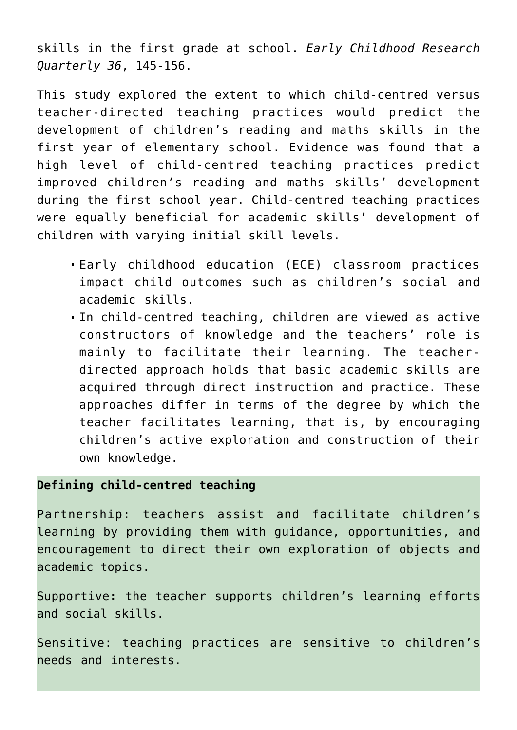skills in the first grade at school. *Early Childhood Research Quarterly 36*, 145-156.

This study explored the extent to which child-centred versus teacher-directed teaching practices would predict the development of children's reading and maths skills in the first year of elementary school. Evidence was found that a high level of child-centred teaching practices predict improved children's reading and maths skills' development during the first school year. Child-centred teaching practices were equally beneficial for academic skills' development of children with varying initial skill levels.

- Early childhood education (ECE) classroom practices impact child outcomes such as children's social and academic skills.
- In child-centred teaching, children are viewed as active constructors of knowledge and the teachers' role is mainly to facilitate their learning. The teacherdirected approach holds that basic academic skills are acquired through direct instruction and practice. These approaches differ in terms of the degree by which the teacher facilitates learning, that is, by encouraging children's active exploration and construction of their own knowledge.

### **Defining child-centred teaching**

Partnership: teachers assist and facilitate children's learning by providing them with guidance, opportunities, and encouragement to direct their own exploration of objects and academic topics.

Supportive**:** the teacher supports children's learning efforts and social skills.

Sensitive: teaching practices are sensitive to children's needs and interests.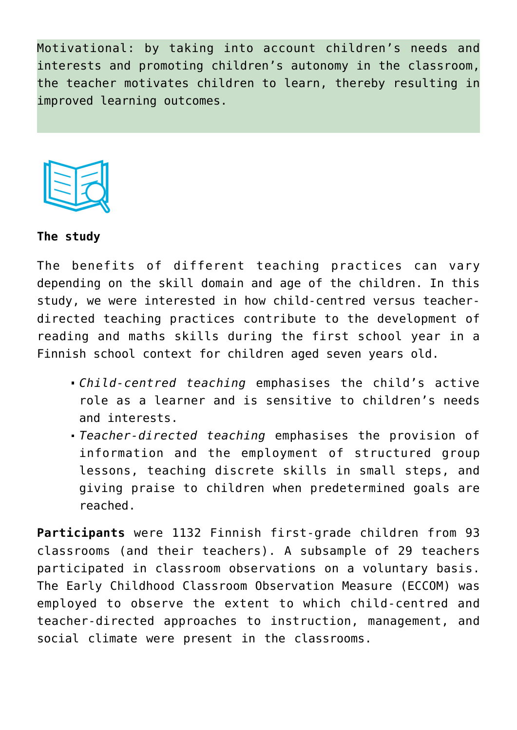Motivational: by taking into account children's needs and interests and promoting children's autonomy in the classroom, the teacher motivates children to learn, thereby resulting in improved learning outcomes.



#### **The study**

The benefits of different teaching practices can vary depending on the skill domain and age of the children. In this study, we were interested in how child-centred versus teacherdirected teaching practices contribute to the development of reading and maths skills during the first school year in a Finnish school context for children aged seven years old.

- *Child-centred teaching* emphasises the child's active role as a learner and is sensitive to children's needs and interests.
- *Teacher-directed teaching* emphasises the provision of information and the employment of structured group lessons, teaching discrete skills in small steps, and giving praise to children when predetermined goals are reached.

**Participants** were 1132 Finnish first-grade children from 93 classrooms (and their teachers). A subsample of 29 teachers participated in classroom observations on a voluntary basis. The Early Childhood Classroom Observation Measure (ECCOM) was employed to observe the extent to which child-centred and teacher-directed approaches to instruction, management, and social climate were present in the classrooms.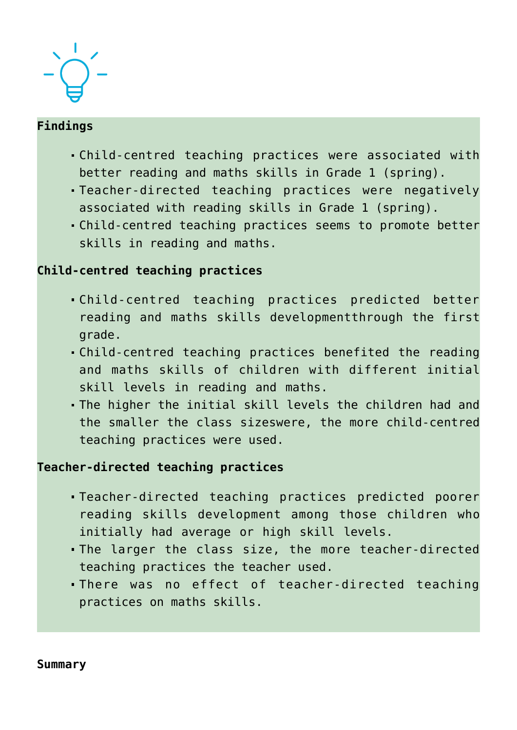

## **Findings**

- Child-centred teaching practices were associated with better reading and maths skills in Grade 1 (spring).
- Teacher-directed teaching practices were negatively associated with reading skills in Grade 1 (spring).
- Child-centred teaching practices seems to promote better skills in reading and maths.

# **Child-centred teaching practices**

- Child-centred teaching practices predicted better reading and maths skills developmentthrough the first grade.
- Child-centred teaching practices benefited the reading and maths skills of children with different initial skill levels in reading and maths.
- The higher the initial skill levels the children had and the smaller the class sizeswere, the more child-centred teaching practices were used.

## **Teacher-directed teaching practices**

- Teacher-directed teaching practices predicted poorer reading skills development among those children who initially had average or high skill levels.
- The larger the class size, the more teacher-directed teaching practices the teacher used.
- There was no effect of teacher-directed teaching practices on maths skills.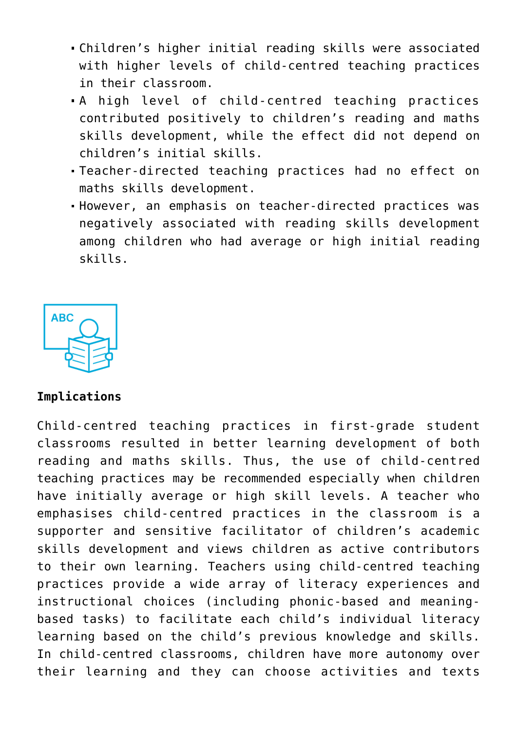- Children's higher initial reading skills were associated with higher levels of child-centred teaching practices in their classroom.
- A high level of child-centred teaching practices contributed positively to children's reading and maths skills development, while the effect did not depend on children's initial skills.
- Teacher-directed teaching practices had no effect on maths skills development.
- However, an emphasis on teacher-directed practices was negatively associated with reading skills development among children who had average or high initial reading skills.



### **Implications**

Child-centred teaching practices in first-grade student classrooms resulted in better learning development of both reading and maths skills. Thus, the use of child-centred teaching practices may be recommended especially when children have initially average or high skill levels. A teacher who emphasises child-centred practices in the classroom is a supporter and sensitive facilitator of children's academic skills development and views children as active contributors to their own learning. Teachers using child-centred teaching practices provide a wide array of literacy experiences and instructional choices (including phonic-based and meaningbased tasks) to facilitate each child's individual literacy learning based on the child's previous knowledge and skills. In child-centred classrooms, children have more autonomy over their learning and they can choose activities and texts